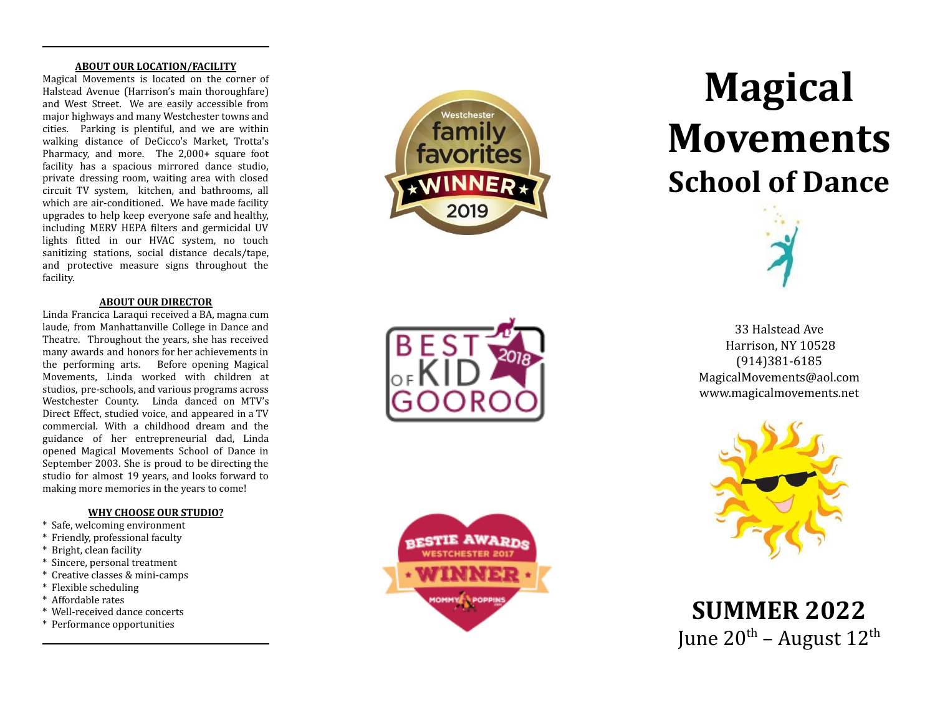#### **ABOUT OUR LOCATION/FACILITY**

Magical Mo vements is located on the corner of Halstead Avenue (Harrison's main thoroughfare) and West Street. We ar e easil y accessible from major hig h w a y s and man y Westchester t owns and cities. Parking is plentiful, and w e ar e within walking distance of DeCicco's Mar ket , T rotta's Pharmacy, and more. The 2,000+ squar e foot facility has a spacious mirrored dance studio, pri vat e dressing room, waiting area with closed circuit TV s ystem, kitchen, and bathrooms, all which ar e air-conditioned. We ha v e made facility upgrades t o help keep e veryone safe and health y, including MERV HEPA filters and germicidal UV lights fitted in our HVA C s ystem, no touch sanitizing stations, social distance decals/tape, and protecti v e measur e signs throughout the facility.

### **ABOUT OUR DIRECTOR**

Linda F rancica Laraqui recei ved a BA, magna cum laude, from Manhattanville College in Dance and Theatre. Throughout the years, she has recei ved man y a wards and honors for her achie vements in the performing arts. Befor e opening Magical Mo vements, Linda wor ked with children at studios, pre-schools, and various programs across Westchester County. Linda danced on MTV's Direct Effect , studied voice, and appeared in a TV commercial. With a childhood dream and the guidance of her entrepreneurial dad, Linda opened Magical Mo vements School of Dance in September 2003. She is proud t o be directing the studio for almost 19 years, and look s forwar d t o making more memories in the years to come!

#### **WHY CHOOSE OUR STUDIO?**

- \* Safe, welcoming environment
- \* Friendl y, professional faculty
- \* Bright, clean facility
- \* Sincere, personal treatment
- \* Creati ve classes & mini-camps
- \* Flexible scheduling
- \* Affordable rates
- \* Well-recei ved dance concerts
- \* Performance opportunities





# **Magical Mo vements School of Dance**



33 Halstead Ave Harrison, NY 10528 (914) 381 - 6185 MagicalMovements@ao[l.c](mailto:MagicalMovements@aol.com)om www.magicalmovements.net



**S U M M E R 2 0 2 2** June 20<sup>th</sup> – August 12<sup>th</sup>